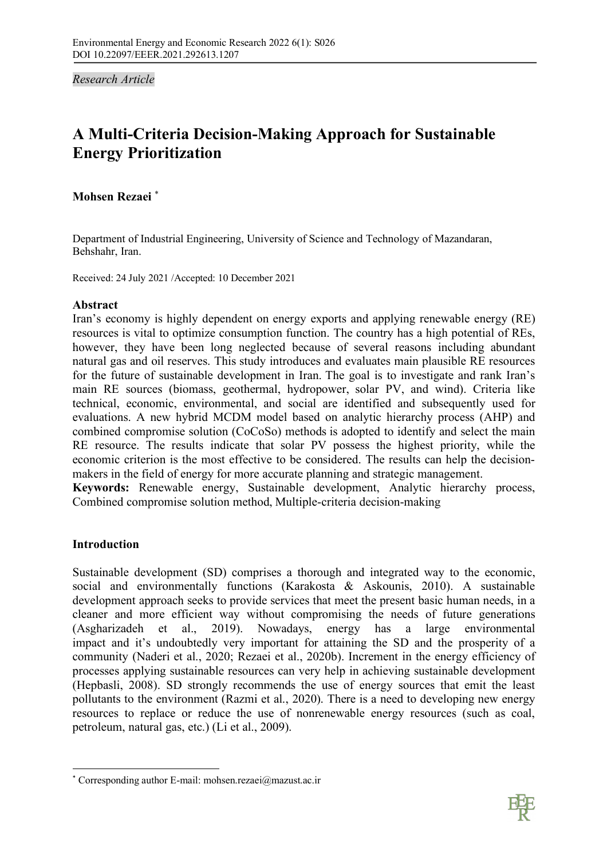*Research Article* 

# **A Multi-Criteria Decision-Making Approach for Sustainable Energy Prioritization**

## **Mohsen Rezaei** \*

Department of Industrial Engineering, University of Science and Technology of Mazandaran, Behshahr, Iran.

Received: 24 July 2021 /Accepted: 10 December 2021

## **Abstract**

Iran's economy is highly dependent on energy exports and applying renewable energy (RE) resources is vital to optimize consumption function. The country has a high potential of REs, however, they have been long neglected because of several reasons including abundant natural gas and oil reserves. This study introduces and evaluates main plausible RE resources for the future of sustainable development in Iran. The goal is to investigate and rank Iran's main RE sources (biomass, geothermal, hydropower, solar PV, and wind). Criteria like technical, economic, environmental, and social are identified and subsequently used for evaluations. A new hybrid MCDM model based on analytic hierarchy process (AHP) and combined compromise solution (CoCoSo) methods is adopted to identify and select the main RE resource. The results indicate that solar PV possess the highest priority, while the economic criterion is the most effective to be considered. The results can help the decisionmakers in the field of energy for more accurate planning and strategic management.

**Keywords:** Renewable energy, Sustainable development, Analytic hierarchy process, Combined compromise solution method, Multiple-criteria decision-making

## **Introduction**

Sustainable development (SD) comprises a thorough and integrated way to the economic, social and environmentally functions (Karakosta & Askounis, 2010). A sustainable development approach seeks to provide services that meet the present basic human needs, in a cleaner and more efficient way without compromising the needs of future generations (Asgharizadeh et al., 2019). Nowadays, energy has a large environmental impact and it's undoubtedly very important for attaining the SD and the prosperity of a community (Naderi et al., 2020; Rezaei et al., 2020b). Increment in the energy efficiency of processes applying sustainable resources can very help in achieving sustainable development (Hepbasli, 2008). SD strongly recommends the use of energy sources that emit the least pollutants to the environment (Razmi et al., 2020). There is a need to developing new energy resources to replace or reduce the use of nonrenewable energy resources (such as coal, petroleum, natural gas, etc.) (Li et al., 2009).



 <sup>\*</sup> Corresponding author E-mail: mohsen.rezaei@mazust.ac.ir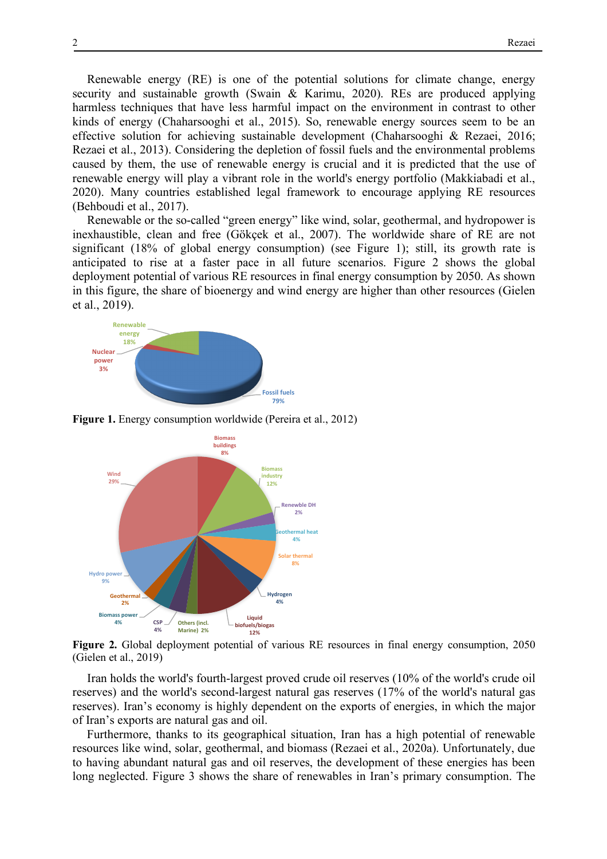Renewable energy (RE) is one of the potential solutions for climate change, energy security and sustainable growth (Swain & Karimu, 2020). REs are produced applying harmless techniques that have less harmful impact on the environment in contrast to other kinds of energy (Chaharsooghi et al., 2015). So, renewable energy sources seem to be an effective solution for achieving sustainable development (Chaharsooghi & Rezaei, 2016; Rezaei et al., 2013). Considering the depletion of fossil fuels and the environmental problems caused by them, the use of renewable energy is crucial and it is predicted that the use of renewable energy will play a vibrant role in the world's energy portfolio (Makkiabadi et al., 2020). Many countries established legal framework to encourage applying RE resources (Behboudi et al., 2017).

Renewable or the so-called "green energy" like wind, solar, geothermal, and hydropower is inexhaustible, clean and free (Gökçek et al., 2007). The worldwide share of RE are not significant (18% of global energy consumption) (see Figure 1); still, its growth rate is anticipated to rise at a faster pace in all future scenarios. Figure 2 shows the global deployment potential of various RE resources in final energy consumption by 2050. As shown in this figure, the share of bioenergy and wind energy are higher than other resources (Gielen et al., 2019).



**Figure 1.** Energy consumption worldwide (Pereira et al., 2012)



**Figure 2.** Global deployment potential of various RE resources in final energy consumption, 2050 (Gielen et al., 2019)

Iran holds the world's fourth-largest proved crude oil reserves (10% of the world's crude oil reserves) and the world's second-largest natural gas reserves (17% of the world's natural gas reserves). Iran's economy is highly dependent on the exports of energies, in which the major of Iran's exports are natural gas and oil.

Furthermore, thanks to its geographical situation, Iran has a high potential of renewable resources like wind, solar, geothermal, and biomass (Rezaei et al., 2020a). Unfortunately, due to having abundant natural gas and oil reserves, the development of these energies has been long neglected. Figure 3 shows the share of renewables in Iran's primary consumption. The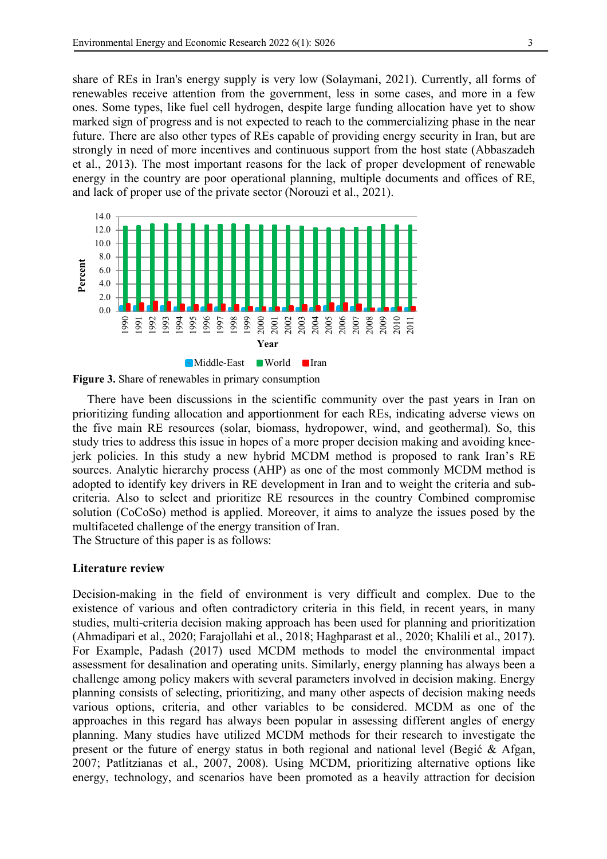share of REs in Iran's energy supply is very low (Solaymani, 2021). Currently, all forms of renewables receive attention from the government, less in some cases, and more in a few ones. Some types, like fuel cell hydrogen, despite large funding allocation have yet to show marked sign of progress and is not expected to reach to the commercializing phase in the near future. There are also other types of REs capable of providing energy security in Iran, but are strongly in need of more incentives and continuous support from the host state (Abbaszadeh et al., 2013). The most important reasons for the lack of proper development of renewable energy in the country are poor operational planning, multiple documents and offices of RE, and lack of proper use of the private sector (Norouzi et al., 2021).



**Figure 3.** Share of renewables in primary consumption

There have been discussions in the scientific community over the past years in Iran on prioritizing funding allocation and apportionment for each REs, indicating adverse views on the five main RE resources (solar, biomass, hydropower, wind, and geothermal). So, this study tries to address this issue in hopes of a more proper decision making and avoiding kneejerk policies. In this study a new hybrid MCDM method is proposed to rank Iran's RE sources. Analytic hierarchy process (AHP) as one of the most commonly MCDM method is adopted to identify key drivers in RE development in Iran and to weight the criteria and subcriteria. Also to select and prioritize RE resources in the country Combined compromise solution (CoCoSo) method is applied. Moreover, it aims to analyze the issues posed by the multifaceted challenge of the energy transition of Iran.

The Structure of this paper is as follows:

## **Literature review**

Decision-making in the field of environment is very difficult and complex. Due to the existence of various and often contradictory criteria in this field, in recent years, in many studies, multi-criteria decision making approach has been used for planning and prioritization (Ahmadipari et al., 2020; Farajollahi et al., 2018; Haghparast et al., 2020; Khalili et al., 2017). For Example, Padash (2017) used MCDM methods to model the environmental impact assessment for desalination and operating units. Similarly, energy planning has always been a challenge among policy makers with several parameters involved in decision making. Energy planning consists of selecting, prioritizing, and many other aspects of decision making needs various options, criteria, and other variables to be considered. MCDM as one of the approaches in this regard has always been popular in assessing different angles of energy planning. Many studies have utilized MCDM methods for their research to investigate the present or the future of energy status in both regional and national level (Begić & Afgan, 2007; Patlitzianas et al., 2007, 2008). Using MCDM, prioritizing alternative options like energy, technology, and scenarios have been promoted as a heavily attraction for decision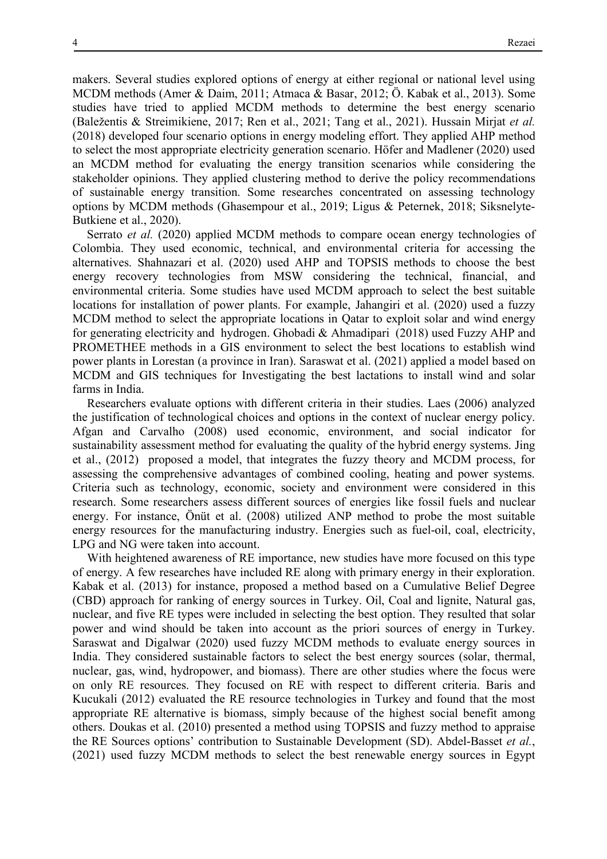makers. Several studies explored options of energy at either regional or national level using MCDM methods (Amer & Daim, 2011; Atmaca & Basar, 2012; Ö. Kabak et al., 2013). Some studies have tried to applied MCDM methods to determine the best energy scenario (Baležentis & Streimikiene, 2017; Ren et al., 2021; Tang et al., 2021). Hussain Mirjat *et al.* (2018) developed four scenario options in energy modeling effort. They applied AHP method to select the most appropriate electricity generation scenario. Höfer and Madlener (2020) used an MCDM method for evaluating the energy transition scenarios while considering the stakeholder opinions. They applied clustering method to derive the policy recommendations of sustainable energy transition. Some researches concentrated on assessing technology options by MCDM methods (Ghasempour et al., 2019; Ligus & Peternek, 2018; Siksnelyte-Butkiene et al., 2020).

Serrato *et al.* (2020) applied MCDM methods to compare ocean energy technologies of Colombia. They used economic, technical, and environmental criteria for accessing the alternatives. Shahnazari et al. (2020) used AHP and TOPSIS methods to choose the best energy recovery technologies from MSW considering the technical, financial, and environmental criteria. Some studies have used MCDM approach to select the best suitable locations for installation of power plants. For example, Jahangiri et al. (2020) used a fuzzy MCDM method to select the appropriate locations in Qatar to exploit solar and wind energy for generating electricity and hydrogen. Ghobadi & Ahmadipari (2018) used Fuzzy AHP and PROMETHEE methods in a GIS environment to select the best locations to establish wind power plants in Lorestan (a province in Iran). Saraswat et al. (2021) applied a model based on MCDM and GIS techniques for Investigating the best lactations to install wind and solar farms in India.

Researchers evaluate options with different criteria in their studies. Laes (2006) analyzed the justification of technological choices and options in the context of nuclear energy policy. Afgan and Carvalho (2008) used economic, environment, and social indicator for sustainability assessment method for evaluating the quality of the hybrid energy systems. Jing et al., (2012) proposed a model, that integrates the fuzzy theory and MCDM process, for assessing the comprehensive advantages of combined cooling, heating and power systems. Criteria such as technology, economic, society and environment were considered in this research. Some researchers assess different sources of energies like fossil fuels and nuclear energy. For instance, Önüt et al. (2008) utilized ANP method to probe the most suitable energy resources for the manufacturing industry. Energies such as fuel-oil, coal, electricity, LPG and NG were taken into account.

With heightened awareness of RE importance, new studies have more focused on this type of energy. A few researches have included RE along with primary energy in their exploration. Kabak et al. (2013) for instance, proposed a method based on a Cumulative Belief Degree (CBD) approach for ranking of energy sources in Turkey. Oil, Coal and lignite, Natural gas, nuclear, and five RE types were included in selecting the best option. They resulted that solar power and wind should be taken into account as the priori sources of energy in Turkey. Saraswat and Digalwar (2020) used fuzzy MCDM methods to evaluate energy sources in India. They considered sustainable factors to select the best energy sources (solar, thermal, nuclear, gas, wind, hydropower, and biomass). There are other studies where the focus were on only RE resources. They focused on RE with respect to different criteria. Baris and Kucukali (2012) evaluated the RE resource technologies in Turkey and found that the most appropriate RE alternative is biomass, simply because of the highest social benefit among others. Doukas et al. (2010) presented a method using TOPSIS and fuzzy method to appraise the RE Sources options' contribution to Sustainable Development (SD). Abdel-Basset *et al.*, (2021) used fuzzy MCDM methods to select the best renewable energy sources in Egypt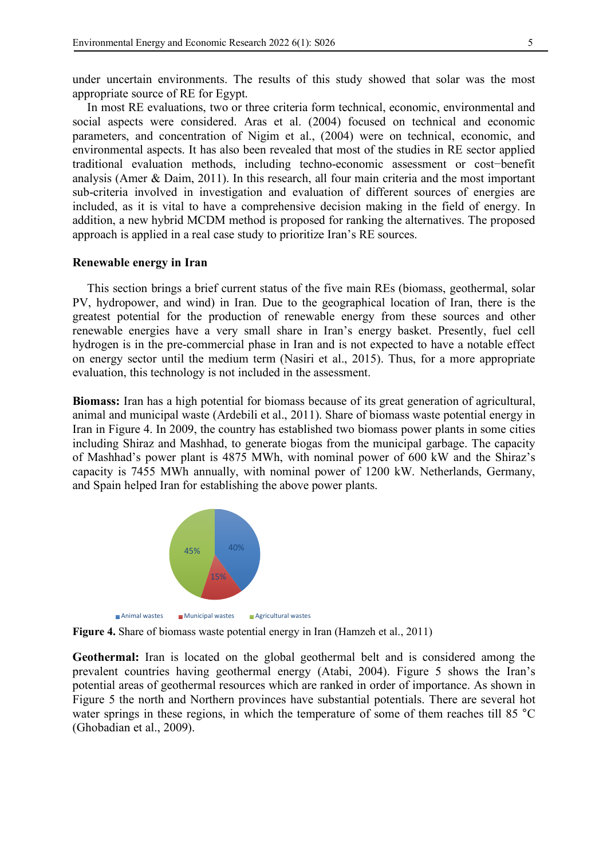under uncertain environments. The results of this study showed that solar was the most appropriate source of RE for Egypt.

In most RE evaluations, two or three criteria form technical, economic, environmental and social aspects were considered. Aras et al. (2004) focused on technical and economic parameters, and concentration of Nigim et al., (2004) were on technical, economic, and environmental aspects. It has also been revealed that most of the studies in RE sector applied traditional evaluation methods, including techno-economic assessment or cost−benefit analysis (Amer & Daim, 2011). In this research, all four main criteria and the most important sub-criteria involved in investigation and evaluation of different sources of energies are included, as it is vital to have a comprehensive decision making in the field of energy. In addition, a new hybrid MCDM method is proposed for ranking the alternatives. The proposed approach is applied in a real case study to prioritize Iran's RE sources.

## **Renewable energy in Iran**

This section brings a brief current status of the five main REs (biomass, geothermal, solar PV, hydropower, and wind) in Iran. Due to the geographical location of Iran, there is the greatest potential for the production of renewable energy from these sources and other renewable energies have a very small share in Iran's energy basket. Presently, fuel cell hydrogen is in the pre-commercial phase in Iran and is not expected to have a notable effect on energy sector until the medium term (Nasiri et al., 2015). Thus, for a more appropriate evaluation, this technology is not included in the assessment.

**Biomass:** Iran has a high potential for biomass because of its great generation of agricultural, animal and municipal waste (Ardebili et al., 2011). Share of biomass waste potential energy in Iran in Figure 4. In 2009, the country has established two biomass power plants in some cities including Shiraz and Mashhad, to generate biogas from the municipal garbage. The capacity of Mashhad's power plant is 4875 MWh, with nominal power of 600 kW and the Shiraz's capacity is 7455 MWh annually, with nominal power of 1200 kW. Netherlands, Germany, and Spain helped Iran for establishing the above power plants.



Animal wastes  $\Box$  Municipal wastes  $\Box$  Agricultural wastes

**Figure 4.** Share of biomass waste potential energy in Iran (Hamzeh et al., 2011)

**Geothermal:** Iran is located on the global geothermal belt and is considered among the prevalent countries having geothermal energy (Atabi, 2004). Figure 5 shows the Iran's potential areas of geothermal resources which are ranked in order of importance. As shown in Figure 5 the north and Northern provinces have substantial potentials. There are several hot water springs in these regions, in which the temperature of some of them reaches till 85 °C (Ghobadian et al., 2009).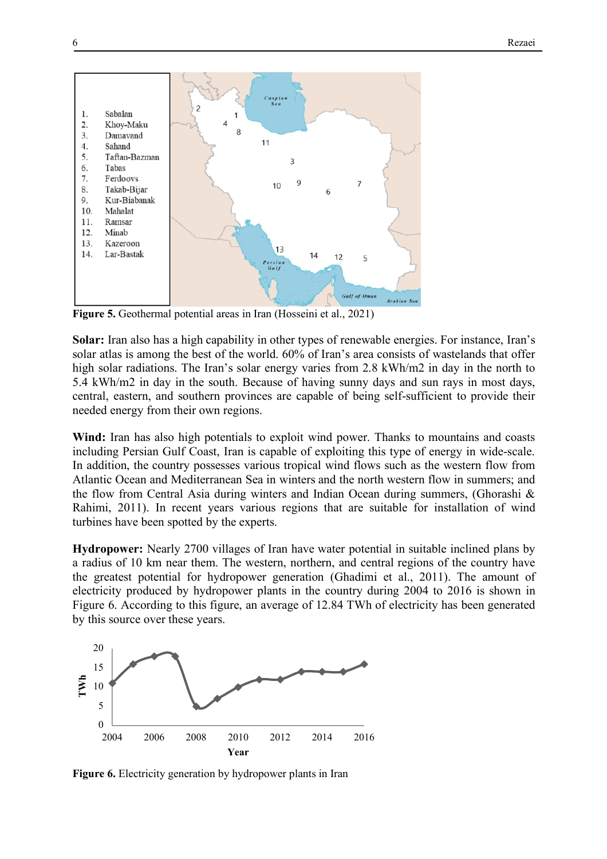

**Figure 5.** Geothermal potential areas in Iran (Hosseini et al., 2021)

**Solar:** Iran also has a high capability in other types of renewable energies. For instance, Iran's solar atlas is among the best of the world. 60% of Iran's area consists of wastelands that offer high solar radiations. The Iran's solar energy varies from 2.8 kWh/m2 in day in the north to 5.4 kWh/m2 in day in the south. Because of having sunny days and sun rays in most days, central, eastern, and southern provinces are capable of being self-sufficient to provide their needed energy from their own regions.

**Wind:** Iran has also high potentials to exploit wind power. Thanks to mountains and coasts including Persian Gulf Coast, Iran is capable of exploiting this type of energy in wide-scale. In addition, the country possesses various tropical wind flows such as the western flow from Atlantic Ocean and Mediterranean Sea in winters and the north western flow in summers; and the flow from Central Asia during winters and Indian Ocean during summers, (Ghorashi  $\&$ Rahimi, 2011). In recent years various regions that are suitable for installation of wind turbines have been spotted by the experts.

**Hydropower:** Nearly 2700 villages of Iran have water potential in suitable inclined plans by a radius of 10 km near them. The western, northern, and central regions of the country have the greatest potential for hydropower generation (Ghadimi et al., 2011). The amount of electricity produced by hydropower plants in the country during 2004 to 2016 is shown in Figure 6. According to this figure, an average of 12.84 TWh of electricity has been generated by this source over these years.



**Figure 6.** Electricity generation by hydropower plants in Iran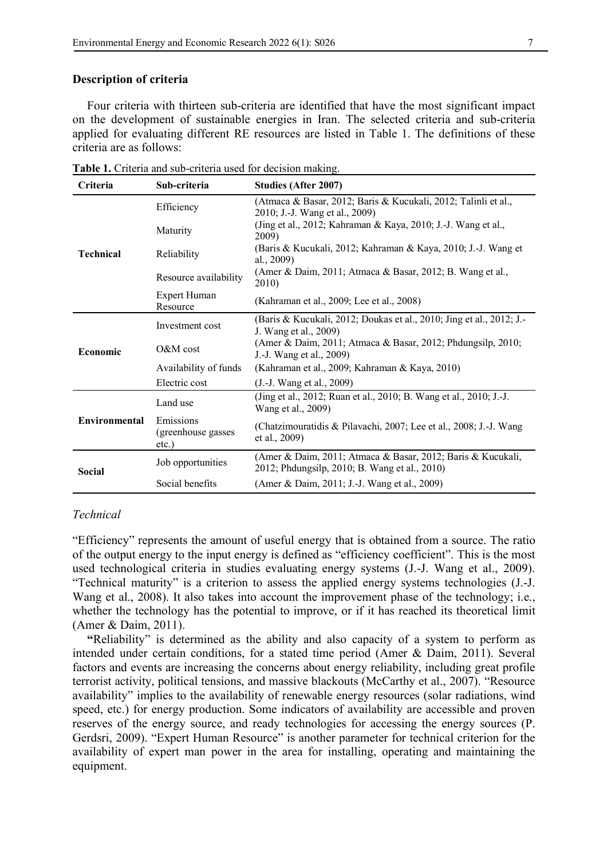## **Description of criteria**

Four criteria with thirteen sub-criteria are identified that have the most significant impact on the development of sustainable energies in Iran. The selected criteria and sub-criteria applied for evaluating different RE resources are listed in Table 1. The definitions of these criteria are as follows:

| Criteria         | Sub-criteria                                | <b>Studies (After 2007)</b>                                                                                  |  |  |  |
|------------------|---------------------------------------------|--------------------------------------------------------------------------------------------------------------|--|--|--|
| <b>Technical</b> | Efficiency                                  | (Atmaca & Basar, 2012; Baris & Kucukali, 2012; Talinli et al.,<br>2010; J.-J. Wang et al., 2009)             |  |  |  |
|                  | Maturity                                    | (Jing et al., 2012; Kahraman & Kaya, 2010; J.-J. Wang et al.,<br>2009)                                       |  |  |  |
|                  | Reliability                                 | (Baris & Kucukali, 2012; Kahraman & Kaya, 2010; J.-J. Wang et<br>al., 2009)                                  |  |  |  |
|                  | Resource availability                       | (Amer & Daim, 2011; Atmaca & Basar, 2012; B. Wang et al.,<br>2010)                                           |  |  |  |
|                  | Expert Human<br>Resource                    | (Kahraman et al., 2009; Lee et al., 2008)                                                                    |  |  |  |
|                  | Investment cost                             | (Baris & Kucukali, 2012; Doukas et al., 2010; Jing et al., 2012; J.-<br>J. Wang et al., 2009)                |  |  |  |
| <b>Economic</b>  | $O&M$ cost                                  | (Amer & Daim, 2011; Atmaca & Basar, 2012; Phdungsilp, 2010;<br>J.-J. Wang et al., 2009)                      |  |  |  |
|                  | Availability of funds                       | (Kahraman et al., 2009; Kahraman & Kaya, 2010)                                                               |  |  |  |
|                  | Electric cost                               | (J.-J. Wang et al., 2009)                                                                                    |  |  |  |
|                  | Land use                                    | (Jing et al., 2012; Ruan et al., 2010; B. Wang et al., 2010; J.-J.<br>Wang et al., 2009)                     |  |  |  |
| Environmental    | Emissions<br>(greenhouse gasses<br>$etc.$ ) | (Chatzimouratidis & Pilavachi, 2007; Lee et al., 2008; J.-J. Wang<br>et al., 2009)                           |  |  |  |
| Social           | Job opportunities                           | (Amer & Daim, 2011; Atmaca & Basar, 2012; Baris & Kucukali,<br>2012; Phdungsilp, 2010; B. Wang et al., 2010) |  |  |  |
|                  | Social benefits                             | (Amer & Daim, 2011; J.-J. Wang et al., 2009)                                                                 |  |  |  |

**Table 1.** Criteria and sub-criteria used for decision making.

## *Technical*

"Efficiency" represents the amount of useful energy that is obtained from a source. The ratio of the output energy to the input energy is defined as "efficiency coefficient". This is the most used technological criteria in studies evaluating energy systems (J.-J. Wang et al., 2009). "Technical maturity" is a criterion to assess the applied energy systems technologies (J.-J. Wang et al., 2008). It also takes into account the improvement phase of the technology; i.e., whether the technology has the potential to improve, or if it has reached its theoretical limit (Amer & Daim, 2011).

**"**Reliability" is determined as the ability and also capacity of a system to perform as intended under certain conditions, for a stated time period (Amer & Daim, 2011). Several factors and events are increasing the concerns about energy reliability, including great profile terrorist activity, political tensions, and massive blackouts (McCarthy et al., 2007). "Resource availability" implies to the availability of renewable energy resources (solar radiations, wind speed, etc.) for energy production. Some indicators of availability are accessible and proven reserves of the energy source, and ready technologies for accessing the energy sources (P. Gerdsri, 2009). "Expert Human Resource" is another parameter for technical criterion for the availability of expert man power in the area for installing, operating and maintaining the equipment.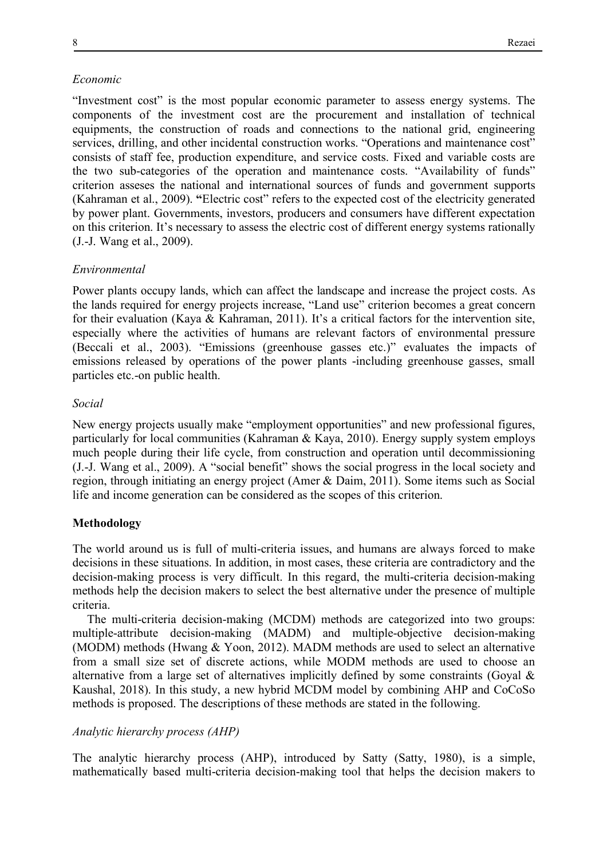#### *Economic*

"Investment cost" is the most popular economic parameter to assess energy systems. The components of the investment cost are the procurement and installation of technical equipments, the construction of roads and connections to the national grid, engineering services, drilling, and other incidental construction works. "Operations and maintenance cost" consists of staff fee, production expenditure, and service costs. Fixed and variable costs are the two sub-categories of the operation and maintenance costs. "Availability of funds" criterion asseses the national and international sources of funds and government supports (Kahraman et al., 2009). **"**Electric cost" refers to the expected cost of the electricity generated by power plant. Governments, investors, producers and consumers have different expectation on this criterion. It's necessary to assess the electric cost of different energy systems rationally (J.-J. Wang et al., 2009).

## *Environmental*

Power plants occupy lands, which can affect the landscape and increase the project costs. As the lands required for energy projects increase, "Land use" criterion becomes a great concern for their evaluation (Kaya & Kahraman, 2011). It's a critical factors for the intervention site, especially where the activities of humans are relevant factors of environmental pressure (Beccali et al., 2003). "Emissions (greenhouse gasses etc.)" evaluates the impacts of emissions released by operations of the power plants -including greenhouse gasses, small particles etc.-on public health.

#### *Social*

New energy projects usually make "employment opportunities" and new professional figures, particularly for local communities (Kahraman & Kaya, 2010). Energy supply system employs much people during their life cycle, from construction and operation until decommissioning (J.-J. Wang et al., 2009). A "social benefit" shows the social progress in the local society and region, through initiating an energy project (Amer & Daim, 2011). Some items such as Social life and income generation can be considered as the scopes of this criterion.

#### **Methodology**

The world around us is full of multi-criteria issues, and humans are always forced to make decisions in these situations. In addition, in most cases, these criteria are contradictory and the decision-making process is very difficult. In this regard, the multi-criteria decision-making methods help the decision makers to select the best alternative under the presence of multiple criteria.

The multi-criteria decision-making (MCDM) methods are categorized into two groups: multiple-attribute decision-making (MADM) and multiple-objective decision-making (MODM) methods (Hwang & Yoon, 2012). MADM methods are used to select an alternative from a small size set of discrete actions, while MODM methods are used to choose an alternative from a large set of alternatives implicitly defined by some constraints (Goyal & Kaushal, 2018). In this study, a new hybrid MCDM model by combining AHP and CoCoSo methods is proposed. The descriptions of these methods are stated in the following.

## *Analytic hierarchy process (AHP)*

The analytic hierarchy process (AHP), introduced by Satty (Satty, 1980), is a simple, mathematically based multi-criteria decision-making tool that helps the decision makers to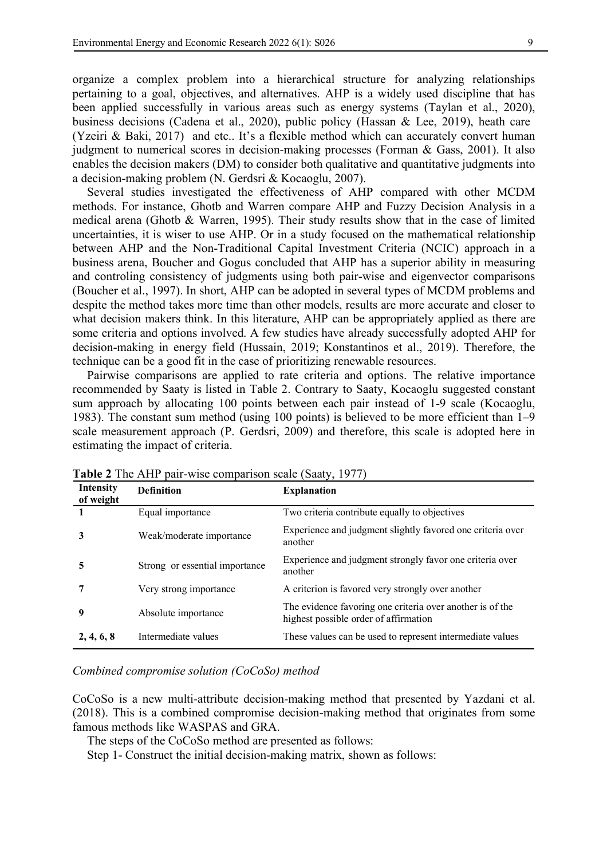organize a complex problem into a hierarchical structure for analyzing relationships pertaining to a goal, objectives, and alternatives. AHP is a widely used discipline that has been applied successfully in various areas such as energy systems (Taylan et al., 2020), business decisions (Cadena et al., 2020), public policy (Hassan & Lee, 2019), heath care (Yzeiri & Baki, 2017) and etc.. It's a flexible method which can accurately convert human judgment to numerical scores in decision-making processes (Forman & Gass, 2001). It also enables the decision makers (DM) to consider both qualitative and quantitative judgments into a decision-making problem (N. Gerdsri & Kocaoglu, 2007).

Several studies investigated the effectiveness of AHP compared with other MCDM methods. For instance, Ghotb and Warren compare AHP and Fuzzy Decision Analysis in a medical arena (Ghotb & Warren, 1995). Their study results show that in the case of limited uncertainties, it is wiser to use AHP. Or in a study focused on the mathematical relationship between AHP and the Non-Traditional Capital Investment Criteria (NCIC) approach in a business arena, Boucher and Gogus concluded that AHP has a superior ability in measuring and controling consistency of judgments using both pair-wise and eigenvector comparisons (Boucher et al., 1997). In short, AHP can be adopted in several types of MCDM problems and despite the method takes more time than other models, results are more accurate and closer to what decision makers think. In this literature, AHP can be appropriately applied as there are some criteria and options involved. A few studies have already successfully adopted AHP for decision-making in energy field (Hussain, 2019; Konstantinos et al., 2019). Therefore, the technique can be a good fit in the case of prioritizing renewable resources.

Pairwise comparisons are applied to rate criteria and options. The relative importance recommended by Saaty is listed in Table 2. Contrary to Saaty, Kocaoglu suggested constant sum approach by allocating 100 points between each pair instead of 1-9 scale (Kocaoglu, 1983). The constant sum method (using 100 points) is believed to be more efficient than 1–9 scale measurement approach (P. Gerdsri, 2009) and therefore, this scale is adopted here in estimating the impact of criteria.

| <b>Intensity</b><br>of weight | <b>Definition</b>              | <b>Explanation</b>                                                                                 |
|-------------------------------|--------------------------------|----------------------------------------------------------------------------------------------------|
|                               | Equal importance               | Two criteria contribute equally to objectives                                                      |
| 3                             | Weak/moderate importance       | Experience and judgment slightly favored one criteria over<br>another                              |
| 5                             | Strong or essential importance | Experience and judgment strongly favor one criteria over<br>another                                |
|                               | Very strong importance         | A criterion is favored very strongly over another                                                  |
| 9                             | Absolute importance            | The evidence favoring one criteria over another is of the<br>highest possible order of affirmation |
| 2, 4, 6, 8                    | Intermediate values            | These values can be used to represent intermediate values                                          |

**Table 2** The AHP pair-wise comparison scale (Saaty, 1977)

*Combined compromise solution (CoCoSo) method*

CoCoSo is a new multi-attribute decision-making method that presented by Yazdani et al. (2018). This is a combined compromise decision-making method that originates from some famous methods like WASPAS and GRA.

The steps of the CoCoSo method are presented as follows:

Step 1- Construct the initial decision-making matrix, shown as follows: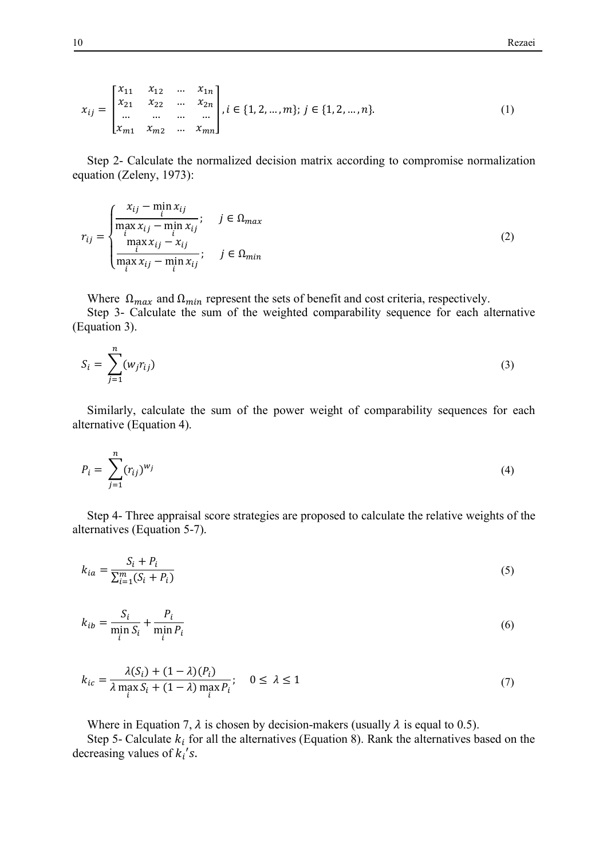$$
x_{ij} = \begin{bmatrix} x_{11} & x_{12} & \dots & x_{1n} \\ x_{21} & x_{22} & \dots & x_{2n} \\ \dots & \dots & \dots & \dots \\ x_{m1} & x_{m2} & \dots & x_{mn} \end{bmatrix}, i \in \{1, 2, \dots, m\}; j \in \{1, 2, \dots, n\}.
$$
 (1)

Step 2- Calculate the normalized decision matrix according to compromise normalization equation (Zeleny, 1973):

$$
r_{ij} = \begin{cases} \frac{x_{ij} - \min_{i} x_{ij}}{\max_{i} x_{ij} - \min_{i} x_{ij}}; & j \in \Omega_{max} \\ \frac{\max_{i} x_{ij} - x_{ij}}{\max_{i} x_{ij} - \min_{i} x_{ij}}; & j \in \Omega_{min} \end{cases}
$$
(2)

Where  $\Omega_{max}$  and  $\Omega_{min}$  represent the sets of benefit and cost criteria, respectively.

Step 3- Calculate the sum of the weighted comparability sequence for each alternative (Equation 3).

$$
S_i = \sum_{j=1}^n (w_j r_{ij})
$$
\n(3)

Similarly, calculate the sum of the power weight of comparability sequences for each alternative (Equation 4).

$$
P_i = \sum_{j=1}^{n} (r_{ij})^{w_j}
$$
 (4)

Step 4- Three appraisal score strategies are proposed to calculate the relative weights of the alternatives (Equation 5-7).

$$
k_{ia} = \frac{S_i + P_i}{\sum_{i=1}^{m} (S_i + P_i)}
$$
(5)

$$
k_{ib} = \frac{S_i}{\min_i S_i} + \frac{P_i}{\min_i P_i} \tag{6}
$$

$$
k_{ic} = \frac{\lambda(S_i) + (1 - \lambda)(P_i)}{\lambda \max_i S_i + (1 - \lambda) \max_i P_i}; \quad 0 \le \lambda \le 1
$$
\n<sup>(7)</sup>

Where in Equation 7,  $\lambda$  is chosen by decision-makers (usually  $\lambda$  is equal to 0.5).

Step 5- Calculate  $k_i$  for all the alternatives (Equation 8). Rank the alternatives based on the decreasing values of  $k_i$ 's.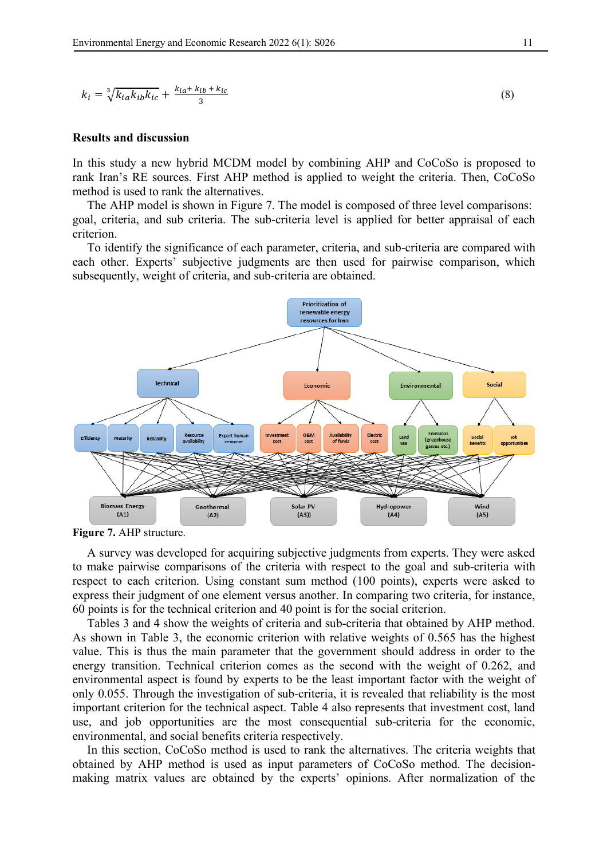$$
k_i = \sqrt[3]{k_{ia}k_{ib}k_{ic}} + \frac{k_{ia} + k_{ib} + k_{ic}}{3}
$$
\n<sup>(8)</sup>

#### **Results and discussion**

In this study a new hybrid MCDM model by combining AHP and CoCoSo is proposed to rank Iran's RE sources. First AHP method is applied to weight the criteria. Then, CoCoSo method is used to rank the alternatives.

The AHP model is shown in Figure 7. The model is composed of three level comparisons: goal, criteria, and sub criteria. The sub-criteria level is applied for better appraisal of each criterion.

To identify the significance of each parameter, criteria, and sub-criteria are compared with each other. Experts' subjective judgments are then used for pairwise comparison, which subsequently, weight of criteria, and sub-criteria are obtained.



**Figure 7.** AHP structure.

A survey was developed for acquiring subjective judgments from experts. They were asked to make pairwise comparisons of the criteria with respect to the goal and sub-criteria with respect to each criterion. Using constant sum method (100 points), experts were asked to express their judgment of one element versus another. In comparing two criteria, for instance, 60 points is for the technical criterion and 40 point is for the social criterion.

Tables 3 and 4 show the weights of criteria and sub-criteria that obtained by AHP method. As shown in Table 3, the economic criterion with relative weights of 0.565 has the highest value. This is thus the main parameter that the government should address in order to the energy transition. Technical criterion comes as the second with the weight of 0.262, and environmental aspect is found by experts to be the least important factor with the weight of only 0.055. Through the investigation of sub-criteria, it is revealed that reliability is the most important criterion for the technical aspect. Table 4 also represents that investment cost, land use, and job opportunities are the most consequential sub-criteria for the economic, environmental, and social benefits criteria respectively.

In this section, CoCoSo method is used to rank the alternatives. The criteria weights that obtained by AHP method is used as input parameters of CoCoSo method. The decisionmaking matrix values are obtained by the experts' opinions. After normalization of the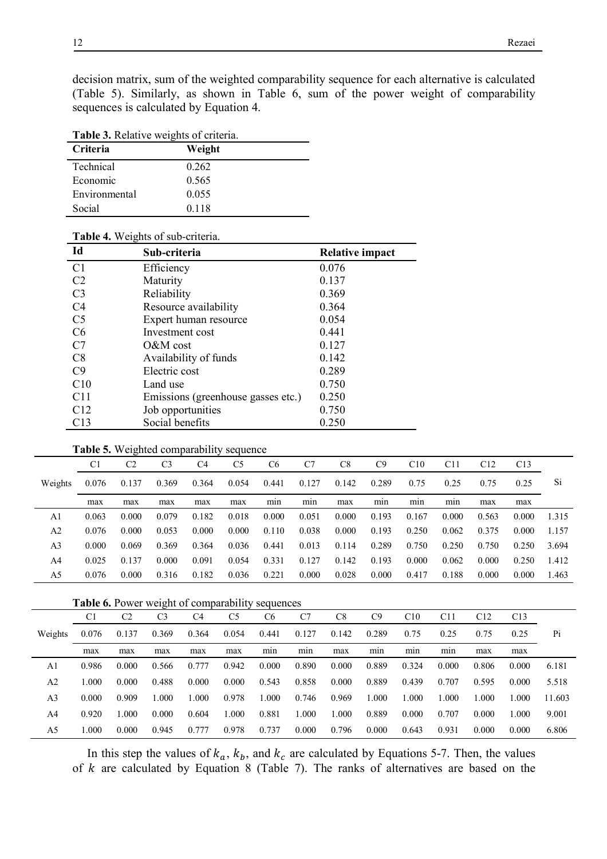decision matrix, sum of the weighted comparability sequence for each alternative is calculated (Table 5). Similarly, as shown in Table 6, sum of the power weight of comparability sequences is calculated by Equation 4.

| Table 3. Relative weights of criteria. |        |  |  |  |  |
|----------------------------------------|--------|--|--|--|--|
| Criteria                               | Weight |  |  |  |  |
| Technical                              | 0.262  |  |  |  |  |
| Economic                               | 0.565  |  |  |  |  |
| Environmental                          | 0.055  |  |  |  |  |
| Social                                 | 0.118  |  |  |  |  |

### **Table 4.** Weights of sub-criteria.

| Id              | Sub-criteria                       | <b>Relative impact</b> |
|-----------------|------------------------------------|------------------------|
| C <sub>1</sub>  | Efficiency                         | 0.076                  |
| C <sub>2</sub>  | Maturity                           | 0.137                  |
| C <sub>3</sub>  | Reliability                        | 0.369                  |
| C <sub>4</sub>  | Resource availability              | 0.364                  |
| C <sub>5</sub>  | Expert human resource              | 0.054                  |
| C <sub>6</sub>  | Investment cost                    | 0.441                  |
| C7              | $O&M$ cost                         | 0.127                  |
| C8              | Availability of funds              | 0.142                  |
| C9              | Electric cost                      | 0.289                  |
| C10             | Land use                           | 0.750                  |
| C11             | Emissions (greenhouse gasses etc.) | 0.250                  |
| C <sub>12</sub> | Job opportunities                  | 0.750                  |
| C13             | Social benefits                    | 0.250                  |

#### **Table 5.** Weighted comparability sequence

|                | C1    | C <sub>2</sub> | C <sub>3</sub> | C4    | C <sub>5</sub> | C6    | C7             | C8    | C <sub>9</sub> | C10   | C11            | C12   | C13   |           |
|----------------|-------|----------------|----------------|-------|----------------|-------|----------------|-------|----------------|-------|----------------|-------|-------|-----------|
| Weights        | 0.076 | 0.137          | 0.369          | 0.364 | 0.054          | 0.441 | 0.127          | 0.142 | 0.289          | 0.75  | 0.25           | 0.75  | 0.25  | <b>Si</b> |
|                | max   | max            | max            | max   | max            | min   | $\cdot$<br>mın | max   | min            | min   | $\cdot$<br>mın | max   | max   |           |
| A1             | 0.063 | 0.000          | 0.079          | 0.182 | 0.018          | 0.000 | 0.051          | 0.000 | 0.193          | 0.167 | 0.000          | 0.563 | 0.000 | 1.315     |
| A2             | 0.076 | 0.000          | 0.053          | 0.000 | 0.000          | 0.110 | 0.038          | 0.000 | 0.193          | 0.250 | 0.062          | 0.375 | 0.000 | 1.157     |
| A <sub>3</sub> | 0.000 | 0.069          | 0.369          | 0.364 | 0.036          | 0.441 | 0.013          | 0.114 | 0.289          | 0.750 | 0.250          | 0.750 | 0.250 | 3.694     |
| A4             | 0.025 | 0.137          | 0.000          | 0.091 | 0.054          | 0.331 | 0.127          | 0.142 | 0.193          | 0.000 | 0.062          | 0.000 | 0.250 | 1.412     |
| A5             | 0.076 | 0.000          | 0.316          | 0.182 | 0.036          | 0.221 | 0.000          | 0.028 | 0.000          | 0.417 | 0.188          | 0.000 | 0.000 | 1.463     |

## **Table 6.** Power weight of comparability sequences

|                | C1    | C <sub>2</sub> | C <sub>3</sub> | C <sub>4</sub> | C5    | C <sub>6</sub> | C7    | C8    | C9    | C10   | C11   | C12   | C13   |        |
|----------------|-------|----------------|----------------|----------------|-------|----------------|-------|-------|-------|-------|-------|-------|-------|--------|
| Weights        | 0.076 | 0.137          | 0.369          | 0.364          | 0.054 | 0.441          | 0.127 | 0.142 | 0.289 | 0.75  | 0.25  | 0.75  | 0.25  | Pi     |
|                | max   | max            | max            | max            | max   | mın            | min   | max   | mın   | mın   | mın   | max   | max   |        |
| A1             | 0.986 | 0.000          | 0.566          | 0.777          | 0.942 | 0.000          | 0.890 | 0.000 | 0.889 | 0.324 | 0.000 | 0.806 | 0.000 | 6.181  |
| A2             | 000   | 0.000          | 0.488          | 0.000          | 0.000 | 0.543          | 0.858 | 0.000 | 0.889 | 0.439 | 0.707 | 0.595 | 0.000 | 5.518  |
| A <sub>3</sub> | 0.000 | 0.909          | 1.000          | 1.000          | 0.978 | 1.000          | 0.746 | 0.969 | 000.1 | 1.000 | 1.000 | 1.000 | 1.000 | 11.603 |
| A4             | 0.920 | 1.000          | 0.000          | 0.604          | 1.000 | 0.881          | 1.000 | 1.000 | 0.889 | 0.000 | 0.707 | 0.000 | 1.000 | 9.001  |
| A5             | .000  | 0.000          | 0.945          | 0.7            | 0.978 | 0.737          | 0.000 | 0.796 | 0.000 | 0.643 | 0.931 | 0.000 | 0.000 | 6.806  |

In this step the values of  $k_a$ ,  $k_b$ , and  $k_c$  are calculated by Equations 5-7. Then, the values of  $k$  are calculated by Equation 8 (Table 7). The ranks of alternatives are based on the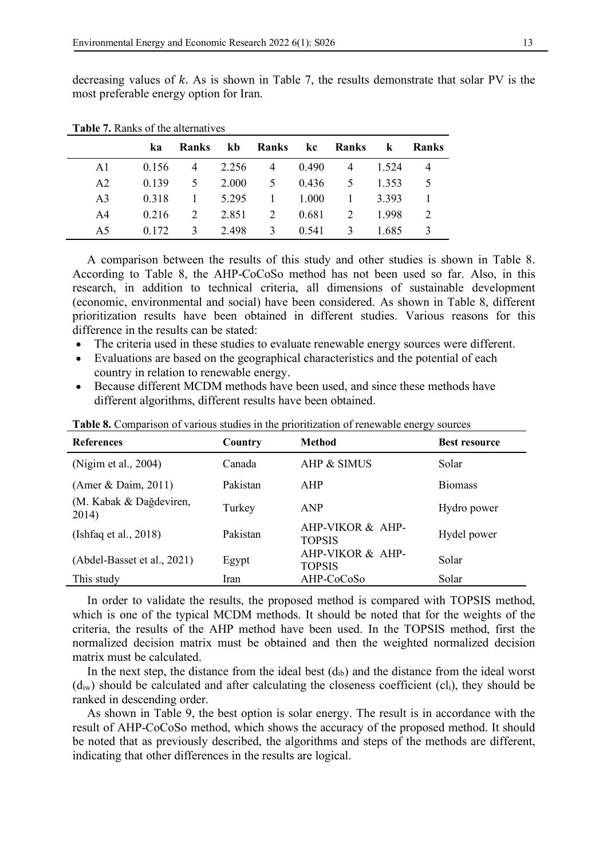decreasing values of  $k$ . As is shown in Table 7, the results demonstrate that solar PV is the most preferable energy option for Iran.

|                | ka    |                |                 | Ranks kb Ranks kc Ranks k Ranks |         |                |                 |               |
|----------------|-------|----------------|-----------------|---------------------------------|---------|----------------|-----------------|---------------|
| A1             | 0.156 |                | 4 2.256         |                                 | 4 0.490 |                | 4 1.524         | -4            |
| A2             | 0.139 | 5 <sup>5</sup> | 2.000           | 5 <sup>5</sup>                  | 0.436   | 5 <sup>5</sup> | 1 3 5 3         | -5            |
| A <sup>3</sup> | 0.318 |                | $1 \quad 5.295$ |                                 | 1 1.000 |                | $1 \quad 3.393$ |               |
| A4             | 0.216 | 2              | 2.851           | $\overline{2}$                  | 0.681   | 2              | 1998            | 2             |
| A5.            | 0.172 | $\mathcal{F}$  | 2.498           | 3                               | 0.541   | $\mathcal{E}$  | 1.685           | $\mathcal{F}$ |

**Table 7.** Ranks of the alternatives

A comparison between the results of this study and other studies is shown in Table 8. According to Table 8, the AHP-CoCoSo method has not been used so far. Also, in this research, in addition to technical criteria, all dimensions of sustainable development (economic, environmental and social) have been considered. As shown in Table 8, different prioritization results have been obtained in different studies. Various reasons for this difference in the results can be stated:

- The criteria used in these studies to evaluate renewable energy sources were different.
- Evaluations are based on the geographical characteristics and the potential of each country in relation to renewable energy.
- Because different MCDM methods have been used, and since these methods have different algorithms, different results have been obtained.

| <b>References</b>                | Country  | <b>Method</b>                     | <b>Best resource</b> |
|----------------------------------|----------|-----------------------------------|----------------------|
| (Nigim et al., 2004)             | Canada   | AHP & SIMUS                       | Solar                |
| $($ Amer & Daim, 2011)           | Pakistan | AHP                               | <b>Biomass</b>       |
| (M. Kabak & Dağdeviren,<br>2014) | Turkey   | <b>ANP</b>                        | Hydro power          |
| (Ishfaq et al., $2018$ )         | Pakistan | AHP-VIKOR & AHP-<br><b>TOPSIS</b> | Hydel power          |
| (Abdel-Basset et al., 2021)      | Egypt    | AHP-VIKOR & AHP-<br><b>TOPSIS</b> | Solar                |
| This study                       | Iran     | AHP-CoCoSo                        | Solar                |

**Table 8.** Comparison of various studies in the prioritization of renewable energy sources

In order to validate the results, the proposed method is compared with TOPSIS method, which is one of the typical MCDM methods. It should be noted that for the weights of the criteria, the results of the AHP method have been used. In the TOPSIS method, first the normalized decision matrix must be obtained and then the weighted normalized decision matrix must be calculated.

In the next step, the distance from the ideal best  $(d_{ib})$  and the distance from the ideal worst  $(d_{iw})$  should be calculated and after calculating the closeness coefficient (cl<sub>i</sub>), they should be ranked in descending order.

As shown in Table 9, the best option is solar energy. The result is in accordance with the result of AHP-CoCoSo method, which shows the accuracy of the proposed method. It should be noted that as previously described, the algorithms and steps of the methods are different, indicating that other differences in the results are logical.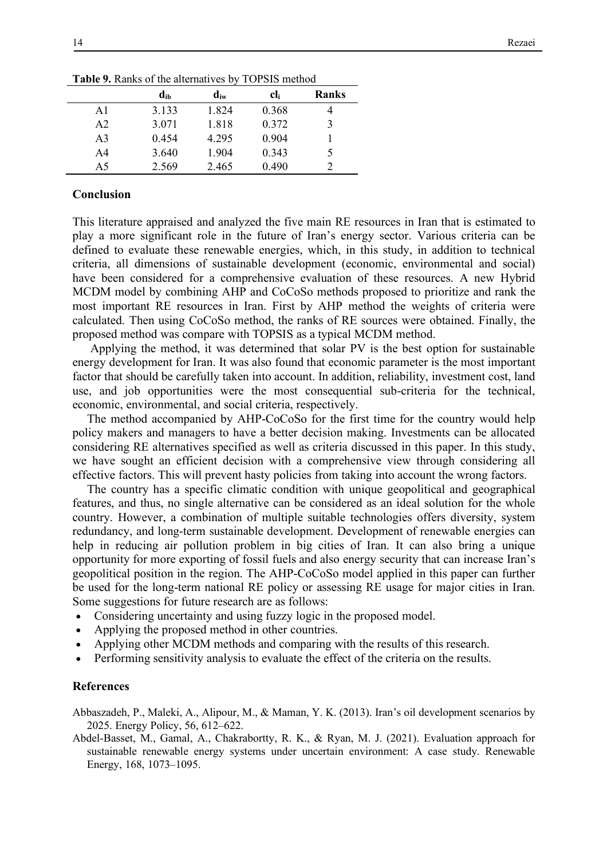|    | d <sub>ib</sub> | $\mathbf{d}_{\text{iw}}$ | Cli   | <b>Ranks</b> |
|----|-----------------|--------------------------|-------|--------------|
| A1 | 3.133           | 1.824                    | 0.368 |              |
| A2 | 3.071           | 1.818                    | 0.372 | 3            |
| A3 | 0.454           | 4.295                    | 0.904 |              |
| A4 | 3.640           | 1.904                    | 0.343 | 5            |
| A5 | 2.569           | 2.465                    | 0.490 |              |

**Table 9.** Ranks of the alternatives by TOPSIS method

## **Conclusion**

This literature appraised and analyzed the five main RE resources in Iran that is estimated to play a more significant role in the future of Iran's energy sector. Various criteria can be defined to evaluate these renewable energies, which, in this study, in addition to technical criteria, all dimensions of sustainable development (economic, environmental and social) have been considered for a comprehensive evaluation of these resources. A new Hybrid MCDM model by combining AHP and CoCoSo methods proposed to prioritize and rank the most important RE resources in Iran. First by AHP method the weights of criteria were calculated. Then using CoCoSo method, the ranks of RE sources were obtained. Finally, the proposed method was compare with TOPSIS as a typical MCDM method.

Applying the method, it was determined that solar PV is the best option for sustainable energy development for Iran. It was also found that economic parameter is the most important factor that should be carefully taken into account. In addition, reliability, investment cost, land use, and job opportunities were the most consequential sub-criteria for the technical, economic, environmental, and social criteria, respectively.

The method accompanied by AHP-CoCoSo for the first time for the country would help policy makers and managers to have a better decision making. Investments can be allocated considering RE alternatives specified as well as criteria discussed in this paper. In this study, we have sought an efficient decision with a comprehensive view through considering all effective factors. This will prevent hasty policies from taking into account the wrong factors.

The country has a specific climatic condition with unique geopolitical and geographical features, and thus, no single alternative can be considered as an ideal solution for the whole country. However, a combination of multiple suitable technologies offers diversity, system redundancy, and long-term sustainable development. Development of renewable energies can help in reducing air pollution problem in big cities of Iran. It can also bring a unique opportunity for more exporting of fossil fuels and also energy security that can increase Iran's geopolitical position in the region. The AHP-CoCoSo model applied in this paper can further be used for the long-term national RE policy or assessing RE usage for major cities in Iran. Some suggestions for future research are as follows:

- Considering uncertainty and using fuzzy logic in the proposed model.
- Applying the proposed method in other countries.
- Applying other MCDM methods and comparing with the results of this research.
- Performing sensitivity analysis to evaluate the effect of the criteria on the results.

#### **References**

- Abbaszadeh, P., Maleki, A., Alipour, M., & Maman, Y. K. (2013). Iran's oil development scenarios by 2025. Energy Policy, 56, 612–622.
- Abdel-Basset, M., Gamal, A., Chakrabortty, R. K., & Ryan, M. J. (2021). Evaluation approach for sustainable renewable energy systems under uncertain environment: A case study. Renewable Energy, 168, 1073–1095.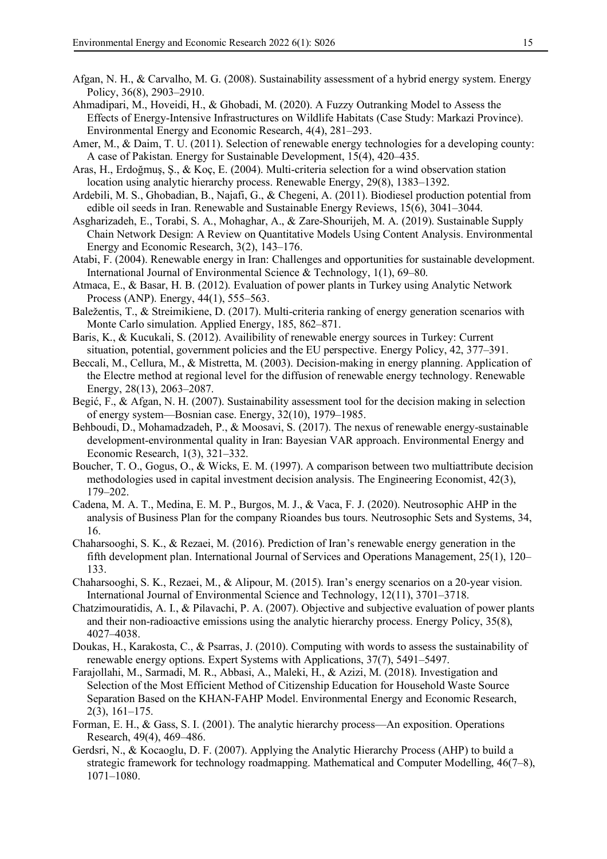- Afgan, N. H., & Carvalho, M. G. (2008). Sustainability assessment of a hybrid energy system. Energy Policy, 36(8), 2903–2910.
- Ahmadipari, M., Hoveidi, H., & Ghobadi, M. (2020). A Fuzzy Outranking Model to Assess the Effects of Energy-Intensive Infrastructures on Wildlife Habitats (Case Study: Markazi Province). Environmental Energy and Economic Research, 4(4), 281–293.
- Amer, M., & Daim, T. U. (2011). Selection of renewable energy technologies for a developing county: A case of Pakistan. Energy for Sustainable Development, 15(4), 420–435.
- Aras, H., Erdoğmuş, Ş., & Koç, E. (2004). Multi-criteria selection for a wind observation station location using analytic hierarchy process. Renewable Energy, 29(8), 1383–1392.
- Ardebili, M. S., Ghobadian, B., Najafi, G., & Chegeni, A. (2011). Biodiesel production potential from edible oil seeds in Iran. Renewable and Sustainable Energy Reviews, 15(6), 3041–3044.
- Asgharizadeh, E., Torabi, S. A., Mohaghar, A., & Zare-Shourijeh, M. A. (2019). Sustainable Supply Chain Network Design: A Review on Quantitative Models Using Content Analysis. Environmental Energy and Economic Research, 3(2), 143–176.
- Atabi, F. (2004). Renewable energy in Iran: Challenges and opportunities for sustainable development. International Journal of Environmental Science & Technology, 1(1), 69–80.
- Atmaca, E., & Basar, H. B. (2012). Evaluation of power plants in Turkey using Analytic Network Process (ANP). Energy, 44(1), 555–563.
- Baležentis, T., & Streimikiene, D. (2017). Multi-criteria ranking of energy generation scenarios with Monte Carlo simulation. Applied Energy, 185, 862–871.
- Baris, K., & Kucukali, S. (2012). Availibility of renewable energy sources in Turkey: Current situation, potential, government policies and the EU perspective. Energy Policy, 42, 377–391.
- Beccali, M., Cellura, M., & Mistretta, M. (2003). Decision-making in energy planning. Application of the Electre method at regional level for the diffusion of renewable energy technology. Renewable Energy, 28(13), 2063–2087.
- Begić, F., & Afgan, N. H. (2007). Sustainability assessment tool for the decision making in selection of energy system—Bosnian case. Energy, 32(10), 1979–1985.
- Behboudi, D., Mohamadzadeh, P., & Moosavi, S. (2017). The nexus of renewable energy-sustainable development-environmental quality in Iran: Bayesian VAR approach. Environmental Energy and Economic Research, 1(3), 321–332.
- Boucher, T. O., Gogus, O., & Wicks, E. M. (1997). A comparison between two multiattribute decision methodologies used in capital investment decision analysis. The Engineering Economist, 42(3), 179–202.
- Cadena, M. A. T., Medina, E. M. P., Burgos, M. J., & Vaca, F. J. (2020). Neutrosophic AHP in the analysis of Business Plan for the company Rioandes bus tours. Neutrosophic Sets and Systems, 34, 16.
- Chaharsooghi, S. K., & Rezaei, M. (2016). Prediction of Iran's renewable energy generation in the fifth development plan. International Journal of Services and Operations Management, 25(1), 120– 133.
- Chaharsooghi, S. K., Rezaei, M., & Alipour, M. (2015). Iran's energy scenarios on a 20-year vision. International Journal of Environmental Science and Technology, 12(11), 3701–3718.
- Chatzimouratidis, A. I., & Pilavachi, P. A. (2007). Objective and subjective evaluation of power plants and their non-radioactive emissions using the analytic hierarchy process. Energy Policy, 35(8), 4027–4038.
- Doukas, H., Karakosta, C., & Psarras, J. (2010). Computing with words to assess the sustainability of renewable energy options. Expert Systems with Applications, 37(7), 5491–5497.
- Farajollahi, M., Sarmadi, M. R., Abbasi, A., Maleki, H., & Azizi, M. (2018). Investigation and Selection of the Most Efficient Method of Citizenship Education for Household Waste Source Separation Based on the KHAN-FAHP Model. Environmental Energy and Economic Research, 2(3), 161–175.
- Forman, E. H., & Gass, S. I. (2001). The analytic hierarchy process—An exposition. Operations Research, 49(4), 469–486.
- Gerdsri, N., & Kocaoglu, D. F. (2007). Applying the Analytic Hierarchy Process (AHP) to build a strategic framework for technology roadmapping. Mathematical and Computer Modelling, 46(7–8), 1071–1080.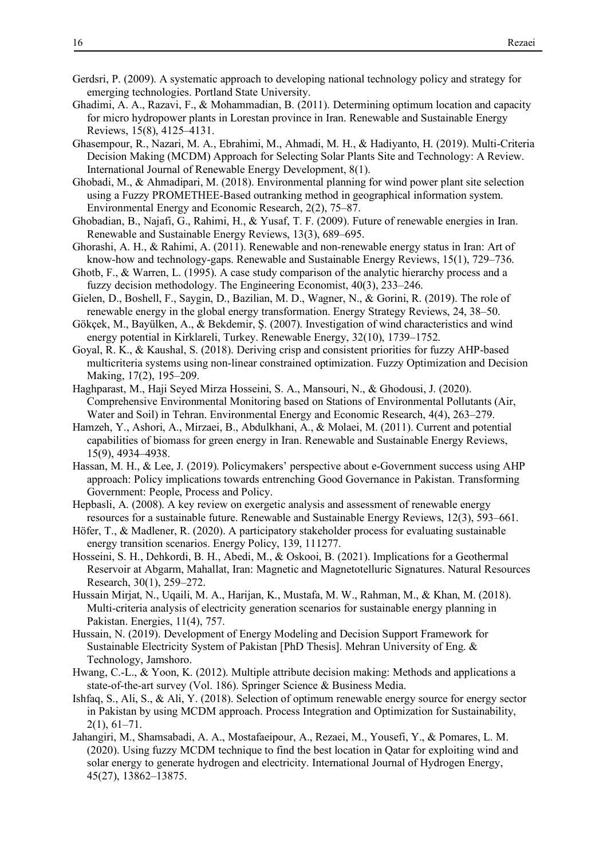- Gerdsri, P. (2009). A systematic approach to developing national technology policy and strategy for emerging technologies. Portland State University.
- Ghadimi, A. A., Razavi, F., & Mohammadian, B. (2011). Determining optimum location and capacity for micro hydropower plants in Lorestan province in Iran. Renewable and Sustainable Energy Reviews, 15(8), 4125–4131.
- Ghasempour, R., Nazari, M. A., Ebrahimi, M., Ahmadi, M. H., & Hadiyanto, H. (2019). Multi-Criteria Decision Making (MCDM) Approach for Selecting Solar Plants Site and Technology: A Review. International Journal of Renewable Energy Development, 8(1).
- Ghobadi, M., & Ahmadipari, M. (2018). Environmental planning for wind power plant site selection using a Fuzzy PROMETHEE-Based outranking method in geographical information system. Environmental Energy and Economic Research, 2(2), 75–87.
- Ghobadian, B., Najafi, G., Rahimi, H., & Yusaf, T. F. (2009). Future of renewable energies in Iran. Renewable and Sustainable Energy Reviews, 13(3), 689–695.
- Ghorashi, A. H., & Rahimi, A. (2011). Renewable and non-renewable energy status in Iran: Art of know-how and technology-gaps. Renewable and Sustainable Energy Reviews, 15(1), 729–736.
- Ghotb, F., & Warren, L. (1995). A case study comparison of the analytic hierarchy process and a fuzzy decision methodology. The Engineering Economist, 40(3), 233–246.
- Gielen, D., Boshell, F., Saygin, D., Bazilian, M. D., Wagner, N., & Gorini, R. (2019). The role of renewable energy in the global energy transformation. Energy Strategy Reviews, 24, 38–50.
- Gökçek, M., Bayülken, A., & Bekdemir, Ş. (2007). Investigation of wind characteristics and wind energy potential in Kirklareli, Turkey. Renewable Energy, 32(10), 1739–1752.
- Goyal, R. K., & Kaushal, S. (2018). Deriving crisp and consistent priorities for fuzzy AHP-based multicriteria systems using non-linear constrained optimization. Fuzzy Optimization and Decision Making, 17(2), 195–209.
- Haghparast, M., Haji Seyed Mirza Hosseini, S. A., Mansouri, N., & Ghodousi, J. (2020). Comprehensive Environmental Monitoring based on Stations of Environmental Pollutants (Air, Water and Soil) in Tehran. Environmental Energy and Economic Research, 4(4), 263–279.
- Hamzeh, Y., Ashori, A., Mirzaei, B., Abdulkhani, A., & Molaei, M. (2011). Current and potential capabilities of biomass for green energy in Iran. Renewable and Sustainable Energy Reviews, 15(9), 4934–4938.
- Hassan, M. H., & Lee, J. (2019). Policymakers' perspective about e-Government success using AHP approach: Policy implications towards entrenching Good Governance in Pakistan. Transforming Government: People, Process and Policy.
- Hepbasli, A. (2008). A key review on exergetic analysis and assessment of renewable energy resources for a sustainable future. Renewable and Sustainable Energy Reviews, 12(3), 593–661.
- Höfer, T., & Madlener, R. (2020). A participatory stakeholder process for evaluating sustainable energy transition scenarios. Energy Policy, 139, 111277.
- Hosseini, S. H., Dehkordi, B. H., Abedi, M., & Oskooi, B. (2021). Implications for a Geothermal Reservoir at Abgarm, Mahallat, Iran: Magnetic and Magnetotelluric Signatures. Natural Resources Research, 30(1), 259–272.
- Hussain Mirjat, N., Uqaili, M. A., Harijan, K., Mustafa, M. W., Rahman, M., & Khan, M. (2018). Multi-criteria analysis of electricity generation scenarios for sustainable energy planning in Pakistan. Energies, 11(4), 757.
- Hussain, N. (2019). Development of Energy Modeling and Decision Support Framework for Sustainable Electricity System of Pakistan [PhD Thesis]. Mehran University of Eng. & Technology, Jamshoro.
- Hwang, C.-L., & Yoon, K. (2012). Multiple attribute decision making: Methods and applications a state-of-the-art survey (Vol. 186). Springer Science & Business Media.
- Ishfaq, S., Ali, S., & Ali, Y. (2018). Selection of optimum renewable energy source for energy sector in Pakistan by using MCDM approach. Process Integration and Optimization for Sustainability, 2(1), 61–71.
- Jahangiri, M., Shamsabadi, A. A., Mostafaeipour, A., Rezaei, M., Yousefi, Y., & Pomares, L. M. (2020). Using fuzzy MCDM technique to find the best location in Qatar for exploiting wind and solar energy to generate hydrogen and electricity. International Journal of Hydrogen Energy, 45(27), 13862–13875.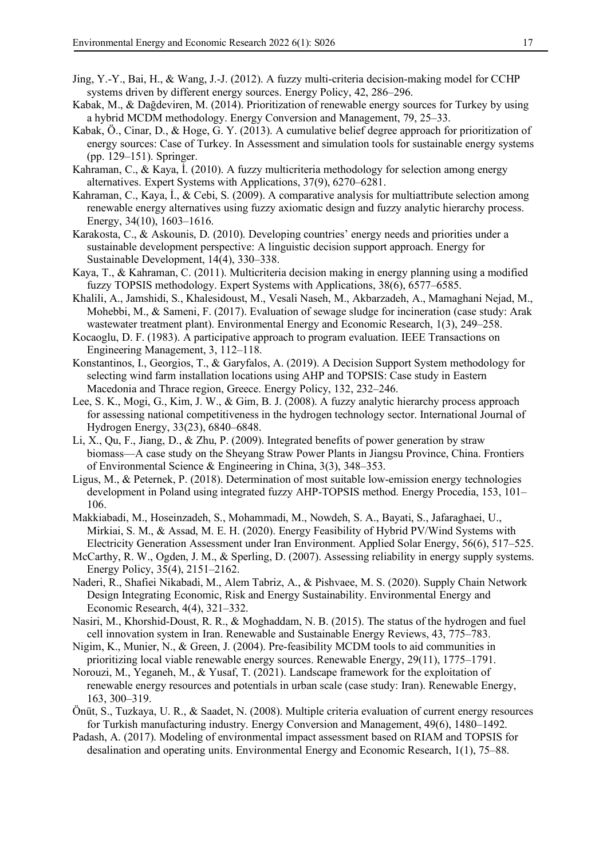- Jing, Y.-Y., Bai, H., & Wang, J.-J. (2012). A fuzzy multi-criteria decision-making model for CCHP systems driven by different energy sources. Energy Policy, 42, 286–296.
- Kabak, M., & Dağdeviren, M. (2014). Prioritization of renewable energy sources for Turkey by using a hybrid MCDM methodology. Energy Conversion and Management, 79, 25–33.
- Kabak, Ö., Cinar, D., & Hoge, G. Y. (2013). A cumulative belief degree approach for prioritization of energy sources: Case of Turkey. In Assessment and simulation tools for sustainable energy systems (pp. 129–151). Springer.
- Kahraman, C., & Kaya, I. (2010). A fuzzy multicriteria methodology for selection among energy alternatives. Expert Systems with Applications, 37(9), 6270–6281.
- Kahraman, C., Kaya, İ., & Cebi, S. (2009). A comparative analysis for multiattribute selection among renewable energy alternatives using fuzzy axiomatic design and fuzzy analytic hierarchy process. Energy, 34(10), 1603–1616.
- Karakosta, C., & Askounis, D. (2010). Developing countries' energy needs and priorities under a sustainable development perspective: A linguistic decision support approach. Energy for Sustainable Development, 14(4), 330–338.
- Kaya, T., & Kahraman, C. (2011). Multicriteria decision making in energy planning using a modified fuzzy TOPSIS methodology. Expert Systems with Applications, 38(6), 6577–6585.
- Khalili, A., Jamshidi, S., Khalesidoust, M., Vesali Naseh, M., Akbarzadeh, A., Mamaghani Nejad, M., Mohebbi, M., & Sameni, F. (2017). Evaluation of sewage sludge for incineration (case study: Arak wastewater treatment plant). Environmental Energy and Economic Research, 1(3), 249–258.
- Kocaoglu, D. F. (1983). A participative approach to program evaluation. IEEE Transactions on Engineering Management, 3, 112–118.
- Konstantinos, I., Georgios, T., & Garyfalos, A. (2019). A Decision Support System methodology for selecting wind farm installation locations using AHP and TOPSIS: Case study in Eastern Macedonia and Thrace region, Greece. Energy Policy, 132, 232–246.
- Lee, S. K., Mogi, G., Kim, J. W., & Gim, B. J. (2008). A fuzzy analytic hierarchy process approach for assessing national competitiveness in the hydrogen technology sector. International Journal of Hydrogen Energy, 33(23), 6840–6848.
- Li, X., Qu, F., Jiang, D., & Zhu, P. (2009). Integrated benefits of power generation by straw biomass—A case study on the Sheyang Straw Power Plants in Jiangsu Province, China. Frontiers of Environmental Science & Engineering in China, 3(3), 348–353.
- Ligus, M., & Peternek, P. (2018). Determination of most suitable low-emission energy technologies development in Poland using integrated fuzzy AHP-TOPSIS method. Energy Procedia, 153, 101– 106.
- Makkiabadi, M., Hoseinzadeh, S., Mohammadi, M., Nowdeh, S. A., Bayati, S., Jafaraghaei, U., Mirkiai, S. M., & Assad, M. E. H. (2020). Energy Feasibility of Hybrid PV/Wind Systems with Electricity Generation Assessment under Iran Environment. Applied Solar Energy, 56(6), 517–525.
- McCarthy, R. W., Ogden, J. M., & Sperling, D. (2007). Assessing reliability in energy supply systems. Energy Policy, 35(4), 2151–2162.
- Naderi, R., Shafiei Nikabadi, M., Alem Tabriz, A., & Pishvaee, M. S. (2020). Supply Chain Network Design Integrating Economic, Risk and Energy Sustainability. Environmental Energy and Economic Research, 4(4), 321–332.
- Nasiri, M., Khorshid-Doust, R. R., & Moghaddam, N. B. (2015). The status of the hydrogen and fuel cell innovation system in Iran. Renewable and Sustainable Energy Reviews, 43, 775–783.
- Nigim, K., Munier, N., & Green, J. (2004). Pre-feasibility MCDM tools to aid communities in prioritizing local viable renewable energy sources. Renewable Energy, 29(11), 1775–1791.
- Norouzi, M., Yeganeh, M., & Yusaf, T. (2021). Landscape framework for the exploitation of renewable energy resources and potentials in urban scale (case study: Iran). Renewable Energy, 163, 300–319.
- Önüt, S., Tuzkaya, U. R., & Saadet, N. (2008). Multiple criteria evaluation of current energy resources for Turkish manufacturing industry. Energy Conversion and Management, 49(6), 1480–1492.
- Padash, A. (2017). Modeling of environmental impact assessment based on RIAM and TOPSIS for desalination and operating units. Environmental Energy and Economic Research, 1(1), 75–88.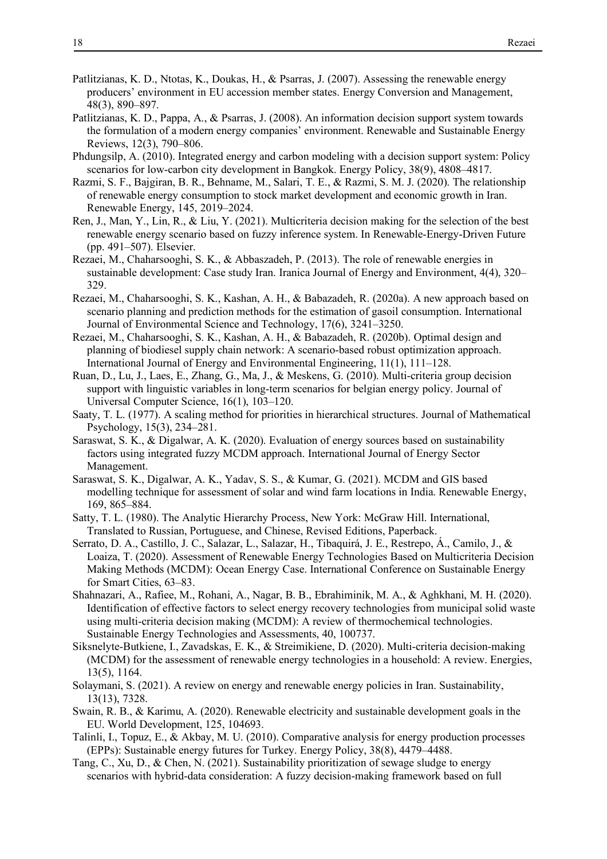- Patlitzianas, K. D., Ntotas, K., Doukas, H., & Psarras, J. (2007). Assessing the renewable energy producers' environment in EU accession member states. Energy Conversion and Management, 48(3), 890–897.
- Patlitzianas, K. D., Pappa, A., & Psarras, J. (2008). An information decision support system towards the formulation of a modern energy companies' environment. Renewable and Sustainable Energy Reviews, 12(3), 790–806.
- Phdungsilp, A. (2010). Integrated energy and carbon modeling with a decision support system: Policy scenarios for low-carbon city development in Bangkok. Energy Policy, 38(9), 4808–4817.
- Razmi, S. F., Bajgiran, B. R., Behname, M., Salari, T. E., & Razmi, S. M. J. (2020). The relationship of renewable energy consumption to stock market development and economic growth in Iran. Renewable Energy, 145, 2019–2024.
- Ren, J., Man, Y., Lin, R., & Liu, Y. (2021). Multicriteria decision making for the selection of the best renewable energy scenario based on fuzzy inference system. In Renewable-Energy-Driven Future (pp. 491–507). Elsevier.
- Rezaei, M., Chaharsooghi, S. K., & Abbaszadeh, P. (2013). The role of renewable energies in sustainable development: Case study Iran. Iranica Journal of Energy and Environment, 4(4), 320– 329.
- Rezaei, M., Chaharsooghi, S. K., Kashan, A. H., & Babazadeh, R. (2020a). A new approach based on scenario planning and prediction methods for the estimation of gasoil consumption. International Journal of Environmental Science and Technology, 17(6), 3241–3250.
- Rezaei, M., Chaharsooghi, S. K., Kashan, A. H., & Babazadeh, R. (2020b). Optimal design and planning of biodiesel supply chain network: A scenario-based robust optimization approach. International Journal of Energy and Environmental Engineering, 11(1), 111–128.
- Ruan, D., Lu, J., Laes, E., Zhang, G., Ma, J., & Meskens, G. (2010). Multi-criteria group decision support with linguistic variables in long-term scenarios for belgian energy policy. Journal of Universal Computer Science, 16(1), 103–120.
- Saaty, T. L. (1977). A scaling method for priorities in hierarchical structures. Journal of Mathematical Psychology, 15(3), 234–281.
- Saraswat, S. K., & Digalwar, A. K. (2020). Evaluation of energy sources based on sustainability factors using integrated fuzzy MCDM approach. International Journal of Energy Sector Management.
- Saraswat, S. K., Digalwar, A. K., Yadav, S. S., & Kumar, G. (2021). MCDM and GIS based modelling technique for assessment of solar and wind farm locations in India. Renewable Energy, 169, 865–884.
- Satty, T. L. (1980). The Analytic Hierarchy Process, New York: McGraw Hill. International, Translated to Russian, Portuguese, and Chinese, Revised Editions, Paperback.
- Serrato, D. A., Castillo, J. C., Salazar, L., Salazar, H., Tibaquirá, J. E., Restrepo, Á., Camilo, J., & Loaiza, T. (2020). Assessment of Renewable Energy Technologies Based on Multicriteria Decision Making Methods (MCDM): Ocean Energy Case. International Conference on Sustainable Energy for Smart Cities, 63–83.
- Shahnazari, A., Rafiee, M., Rohani, A., Nagar, B. B., Ebrahiminik, M. A., & Aghkhani, M. H. (2020). Identification of effective factors to select energy recovery technologies from municipal solid waste using multi-criteria decision making (MCDM): A review of thermochemical technologies. Sustainable Energy Technologies and Assessments, 40, 100737.
- Siksnelyte-Butkiene, I., Zavadskas, E. K., & Streimikiene, D. (2020). Multi-criteria decision-making (MCDM) for the assessment of renewable energy technologies in a household: A review. Energies, 13(5), 1164.
- Solaymani, S. (2021). A review on energy and renewable energy policies in Iran. Sustainability, 13(13), 7328.
- Swain, R. B., & Karimu, A. (2020). Renewable electricity and sustainable development goals in the EU. World Development, 125, 104693.
- Talinli, I., Topuz, E., & Akbay, M. U. (2010). Comparative analysis for energy production processes (EPPs): Sustainable energy futures for Turkey. Energy Policy, 38(8), 4479–4488.
- Tang, C., Xu, D., & Chen, N. (2021). Sustainability prioritization of sewage sludge to energy scenarios with hybrid-data consideration: A fuzzy decision-making framework based on full